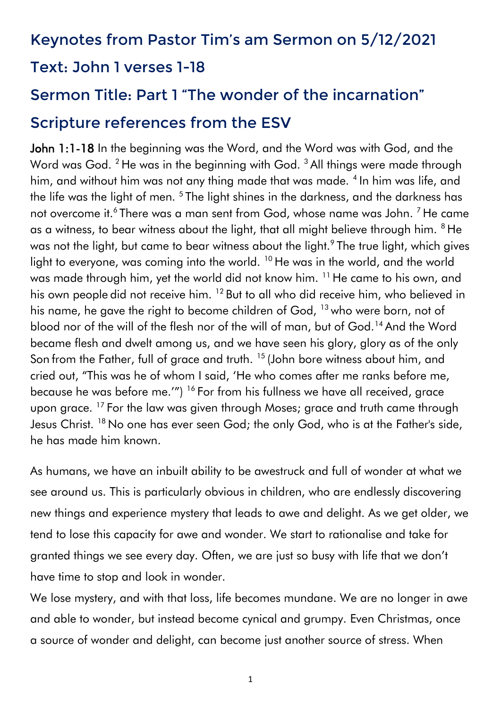# Keynotes from Pastor Tim's am Sermon on 5/12/2021 Text: John 1 verses 1-18

# Sermon Title: Part 1 "The wonder of the incarnation" Scripture references from the ESV

John 1:1-18 In the beginning was the Word, and the Word was with God, and the Word was God. <sup>2</sup> He was in the beginning with God. <sup>3</sup> All things were made through him, and without him was not any thing made that was made. <sup>4</sup> In him was life, and the life was the light of men. <sup>5</sup> The light shines in the darkness, and the darkness has not overcome it. $^6$  There was a man sent from God, whose name was John.  $^7$  He came as a witness, to bear witness about the light, that all might believe through him. <sup>8</sup> He was not the light, but came to bear witness about the light. $^9$  The true light, which gives light to everyone, was coming into the world. <sup>10</sup> He was in the world, and the world was made through him, yet the world did not know him. <sup>11</sup> He came to his own, and his own people did not receive him. <sup>12</sup> But to all who did receive him, who believed in his name, he gave the right to become children of God, <sup>13</sup> who were born, not of blood nor of the will of the flesh nor of the will of man, but of God.<sup>14</sup> And the Word became flesh and dwelt among us, and we have seen his glory, glory as of the only Son from the Father, full of grace and truth. <sup>15</sup> (John bore witness about him, and cried out, "This was he of whom I said, 'He who comes after me ranks before me, because he was before me.'") <sup>16</sup> For from his fullness we have all received, grace upon grace. <sup>17</sup> For the law was given through Moses; grace and truth came through Jesus Christ. <sup>18</sup> No one has ever seen God; the only God, who is at the Father's side, he has made him known.

As humans, we have an inbuilt ability to be awestruck and full of wonder at what we see around us. This is particularly obvious in children, who are endlessly discovering new things and experience mystery that leads to awe and delight. As we get older, we tend to lose this capacity for awe and wonder. We start to rationalise and take for granted things we see every day. Often, we are just so busy with life that we don't have time to stop and look in wonder.

We lose mystery, and with that loss, life becomes mundane. We are no longer in awe and able to wonder, but instead become cynical and grumpy. Even Christmas, once a source of wonder and delight, can become just another source of stress. When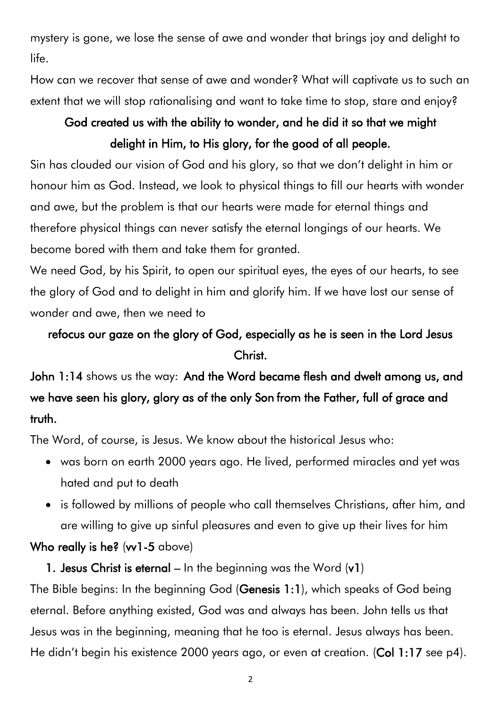mystery is gone, we lose the sense of awe and wonder that brings joy and delight to life.

How can we recover that sense of awe and wonder? What will captivate us to such an extent that we will stop rationalising and want to take time to stop, stare and enjoy?

## God created us with the ability to wonder, and he did it so that we might delight in Him, to His glory, for the good of all people.

Sin has clouded our vision of God and his glory, so that we don't delight in him or honour him as God. Instead, we look to physical things to fill our hearts with wonder and awe, but the problem is that our hearts were made for eternal things and therefore physical things can never satisfy the eternal longings of our hearts. We become bored with them and take them for granted.

We need God, by his Spirit, to open our spiritual eyes, the eyes of our hearts, to see the glory of God and to delight in him and glorify him. If we have lost our sense of wonder and awe, then we need to

# refocus our gaze on the glory of God, especially as he is seen in the Lord Jesus Christ.

John 1:14 shows us the way: And the Word became flesh and dwelt among us, and we have seen his glory, glory as of the only Son from the Father, full of grace and truth.

The Word, of course, is Jesus. We know about the historical Jesus who:

- was born on earth 2000 years ago. He lived, performed miracles and yet was hated and put to death
- is followed by millions of people who call themselves Christians, after him, and are willing to give up sinful pleasures and even to give up their lives for him

### Who really is he? (w1-5 above)

1. Jesus Christ is eternal  $-$  In the beginning was the Word  $(v1)$ 

The Bible begins: In the beginning God (Genesis 1:1), which speaks of God being eternal. Before anything existed, God was and always has been. John tells us that Jesus was in the beginning, meaning that he too is eternal. Jesus always has been. He didn't begin his existence 2000 years ago, or even at creation. (Col 1:17 see p4).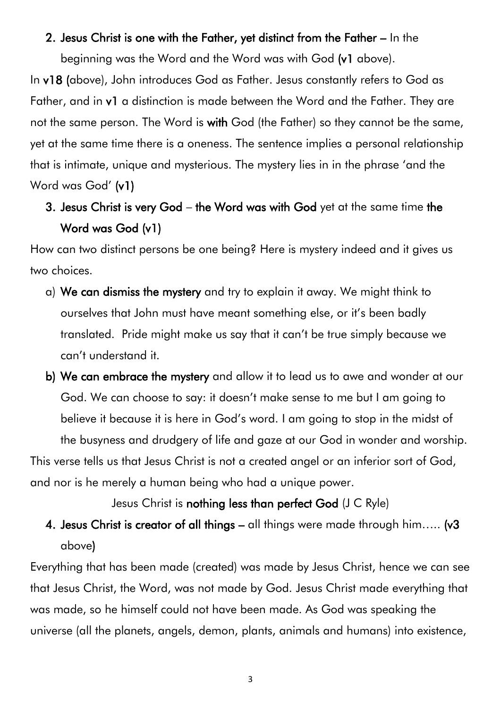#### 2. Jesus Christ is one with the Father, yet distinct from the Father – In the

beginning was the Word and the Word was with God (v1 above). In v18 (above), John introduces God as Father. Jesus constantly refers to God as Father, and in v1 a distinction is made between the Word and the Father. They are not the same person. The Word is with God (the Father) so they cannot be the same, yet at the same time there is a oneness. The sentence implies a personal relationship that is intimate, unique and mysterious. The mystery lies in in the phrase 'and the Word was God' (v1)

## 3. Jesus Christ is very God – the Word was with God yet at the same time the Word was God (v1)

How can two distinct persons be one being? Here is mystery indeed and it gives us two choices.

- a) We can dismiss the mystery and try to explain it away. We might think to ourselves that John must have meant something else, or it's been badly translated. Pride might make us say that it can't be true simply because we can't understand it.
- b) We can embrace the mystery and allow it to lead us to awe and wonder at our God. We can choose to say: it doesn't make sense to me but I am going to believe it because it is here in God's word. I am going to stop in the midst of the busyness and drudgery of life and gaze at our God in wonder and worship.

This verse tells us that Jesus Christ is not a created angel or an inferior sort of God, and nor is he merely a human being who had a unique power.

#### Jesus Christ is nothing less than perfect God (J C Ryle)

4. Jesus Christ is creator of all things – all things were made through him..... (v3 above)

Everything that has been made (created) was made by Jesus Christ, hence we can see that Jesus Christ, the Word, was not made by God. Jesus Christ made everything that was made, so he himself could not have been made. As God was speaking the universe (all the planets, angels, demon, plants, animals and humans) into existence,

3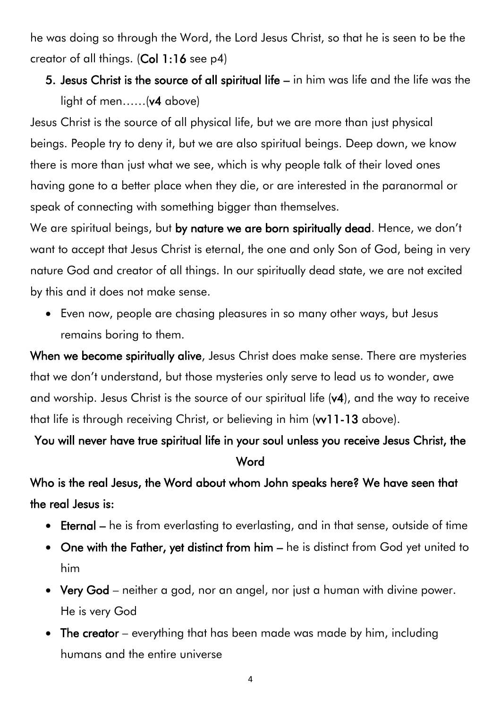he was doing so through the Word, the Lord Jesus Christ, so that he is seen to be the creator of all things. (Col 1:16 see p4)

# 5. Jesus Christ is the source of all spiritual life – in him was life and the life was the light of men……(v4 above)

Jesus Christ is the source of all physical life, but we are more than just physical beings. People try to deny it, but we are also spiritual beings. Deep down, we know there is more than just what we see, which is why people talk of their loved ones having gone to a better place when they die, or are interested in the paranormal or speak of connecting with something bigger than themselves.

We are spiritual beings, but by nature we are born spiritually dead. Hence, we don't want to accept that Jesus Christ is eternal, the one and only Son of God, being in very nature God and creator of all things. In our spiritually dead state, we are not excited by this and it does not make sense.

• Even now, people are chasing pleasures in so many other ways, but Jesus remains boring to them.

When we become spiritually alive, Jesus Christ does make sense. There are mysteries that we don't understand, but those mysteries only serve to lead us to wonder, awe and worship. Jesus Christ is the source of our spiritual life (v4), and the way to receive that life is through receiving Christ, or believing in him (w11-13 above).

# You will never have true spiritual life in your soul unless you receive Jesus Christ, the **Word**

Who is the real Jesus, the Word about whom John speaks here? We have seen that the real Jesus is:

- Eternal he is from everlasting to everlasting, and in that sense, outside of time
- One with the Father, yet distinct from him he is distinct from God yet united to him
- Very God neither a god, nor an angel, nor just a human with divine power. He is very God
- The creator everything that has been made was made by him, including humans and the entire universe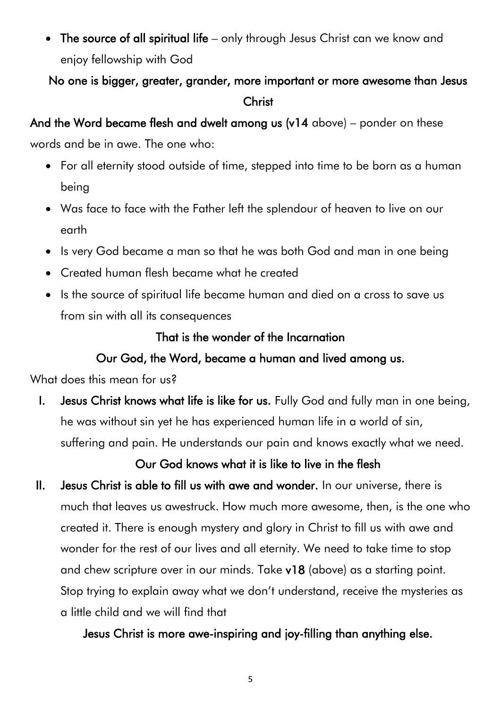• The source of all spiritual life – only through Jesus Christ can we know and enjoy fellowship with God

### No one is bigger, greater, grander, more important or more awesome than Jesus Christ

### And the Word became flesh and dwelt among us (v14 above) – ponder on these

words and be in awe. The one who:

- For all eternity stood outside of time, stepped into time to be born as a human being
- Was face to face with the Father left the splendour of heaven to live on our earth
- Is very God became a man so that he was both God and man in one being
- Created human flesh became what he created
- Is the source of spiritual life became human and died on a cross to save us from sin with all its consequences

### That is the wonder of the Incarnation

### Our God, the Word, became a human and lived among us.

What does this mean for us?

I. Jesus Christ knows what life is like for us. Fully God and fully man in one being, he was without sin yet he has experienced human life in a world of sin, suffering and pain. He understands our pain and knows exactly what we need.

Our God knows what it is like to live in the flesh

II. Jesus Christ is able to fill us with awe and wonder. In our universe, there is much that leaves us awestruck. How much more awesome, then, is the one who created it. There is enough mystery and glory in Christ to fill us with awe and wonder for the rest of our lives and all eternity. We need to take time to stop and chew scripture over in our minds. Take v18 (above) as a starting point. Stop trying to explain away what we don't understand, receive the mysteries as a little child and we will find that

Jesus Christ is more awe-inspiring and joy-filling than anything else.